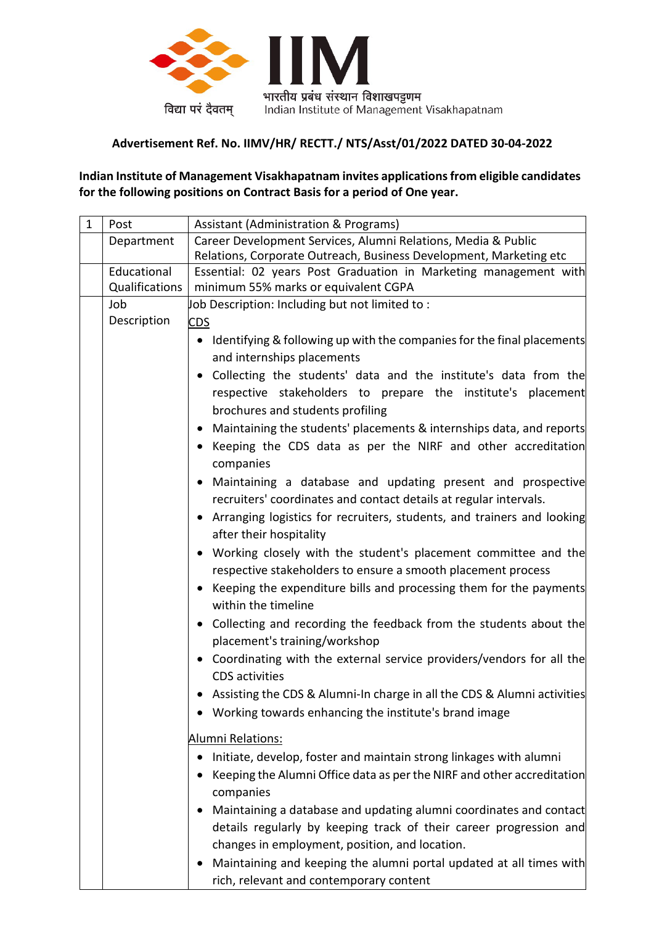

## **Advertisement Ref. No. IIMV/HR/ RECTT./ NTS/Asst/01/2022 DATED 30-04-2022**

**Indian Institute of Management Visakhapatnam invites applications from eligible candidates for the following positions on Contract Basis for a period of One year.**

| $\mathbf{1}$ | Post           | <b>Assistant (Administration &amp; Programs)</b>                                                       |  |  |  |  |  |  |
|--------------|----------------|--------------------------------------------------------------------------------------------------------|--|--|--|--|--|--|
|              | Department     | Career Development Services, Alumni Relations, Media & Public                                          |  |  |  |  |  |  |
|              |                | Relations, Corporate Outreach, Business Development, Marketing etc                                     |  |  |  |  |  |  |
|              | Educational    | Essential: 02 years Post Graduation in Marketing management with                                       |  |  |  |  |  |  |
|              | Qualifications | minimum 55% marks or equivalent CGPA                                                                   |  |  |  |  |  |  |
|              | Job            | Job Description: Including but not limited to:                                                         |  |  |  |  |  |  |
|              | Description    | <b>CDS</b>                                                                                             |  |  |  |  |  |  |
|              |                | • Identifying & following up with the companies for the final placements<br>and internships placements |  |  |  |  |  |  |
|              |                | • Collecting the students' data and the institute's data from the                                      |  |  |  |  |  |  |
|              |                | respective stakeholders to prepare the institute's placement                                           |  |  |  |  |  |  |
|              |                | brochures and students profiling                                                                       |  |  |  |  |  |  |
|              |                | Maintaining the students' placements & internships data, and reports                                   |  |  |  |  |  |  |
|              |                | Keeping the CDS data as per the NIRF and other accreditation                                           |  |  |  |  |  |  |
|              |                | companies                                                                                              |  |  |  |  |  |  |
|              |                | Maintaining a database and updating present and prospective                                            |  |  |  |  |  |  |
|              |                | recruiters' coordinates and contact details at regular intervals.                                      |  |  |  |  |  |  |
|              |                | • Arranging logistics for recruiters, students, and trainers and looking                               |  |  |  |  |  |  |
|              |                | after their hospitality                                                                                |  |  |  |  |  |  |
|              |                | Working closely with the student's placement committee and the                                         |  |  |  |  |  |  |
|              |                | respective stakeholders to ensure a smooth placement process                                           |  |  |  |  |  |  |
|              |                | Keeping the expenditure bills and processing them for the payments                                     |  |  |  |  |  |  |
|              |                | within the timeline                                                                                    |  |  |  |  |  |  |
|              |                | • Collecting and recording the feedback from the students about the                                    |  |  |  |  |  |  |
|              |                | placement's training/workshop                                                                          |  |  |  |  |  |  |
|              |                | • Coordinating with the external service providers/vendors for all the<br><b>CDS</b> activities        |  |  |  |  |  |  |
|              |                | Assisting the CDS & Alumni-In charge in all the CDS & Alumni activities                                |  |  |  |  |  |  |
|              |                | Working towards enhancing the institute's brand image                                                  |  |  |  |  |  |  |
|              |                | Alumni Relations:                                                                                      |  |  |  |  |  |  |
|              |                | Initiate, develop, foster and maintain strong linkages with alumni                                     |  |  |  |  |  |  |
|              |                |                                                                                                        |  |  |  |  |  |  |
|              |                | Keeping the Alumni Office data as per the NIRF and other accreditation                                 |  |  |  |  |  |  |
|              |                | companies                                                                                              |  |  |  |  |  |  |
|              |                | Maintaining a database and updating alumni coordinates and contact                                     |  |  |  |  |  |  |
|              |                | details regularly by keeping track of their career progression and                                     |  |  |  |  |  |  |
|              |                | changes in employment, position, and location.                                                         |  |  |  |  |  |  |
|              |                | Maintaining and keeping the alumni portal updated at all times with                                    |  |  |  |  |  |  |
|              |                | rich, relevant and contemporary content                                                                |  |  |  |  |  |  |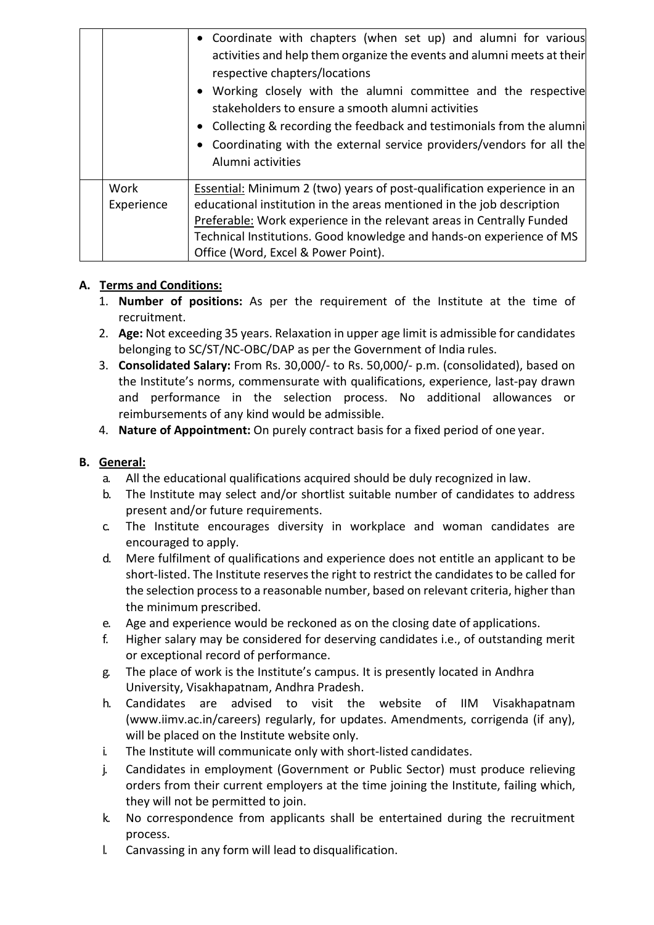|                    | • Coordinate with chapters (when set up) and alumni for various<br>activities and help them organize the events and alumni meets at their<br>respective chapters/locations<br>• Working closely with the alumni committee and the respective<br>stakeholders to ensure a smooth alumni activities<br>• Collecting & recording the feedback and testimonials from the alumni<br>• Coordinating with the external service providers/vendors for all the<br>Alumni activities |
|--------------------|----------------------------------------------------------------------------------------------------------------------------------------------------------------------------------------------------------------------------------------------------------------------------------------------------------------------------------------------------------------------------------------------------------------------------------------------------------------------------|
| Work<br>Experience | Essential: Minimum 2 (two) years of post-qualification experience in an<br>educational institution in the areas mentioned in the job description                                                                                                                                                                                                                                                                                                                           |
|                    | Preferable: Work experience in the relevant areas in Centrally Funded<br>Technical Institutions. Good knowledge and hands-on experience of MS<br>Office (Word, Excel & Power Point).                                                                                                                                                                                                                                                                                       |

# **A. Terms and Conditions:**

- 1. **Number of positions:** As per the requirement of the Institute at the time of recruitment.
- 2. **Age:** Not exceeding 35 years. Relaxation in upper age limit is admissible for candidates belonging to SC/ST/NC-OBC/DAP as per the Government of India rules.
- 3. **Consolidated Salary:** From Rs. 30,000/- to Rs. 50,000/- p.m. (consolidated), based on the Institute's norms, commensurate with qualifications, experience, last-pay drawn and performance in the selection process. No additional allowances or reimbursements of any kind would be admissible.
- 4. **Nature of Appointment:** On purely contract basis for a fixed period of one year.

# **B. General:**

- a. All the educational qualifications acquired should be duly recognized in law.
- b. The Institute may select and/or shortlist suitable number of candidates to address present and/or future requirements.
- c. The Institute encourages diversity in workplace and woman candidates are encouraged to apply.
- d. Mere fulfilment of qualifications and experience does not entitle an applicant to be short-listed. The Institute reservesthe right to restrict the candidatesto be called for the selection processto a reasonable number, based on relevant criteria, higher than the minimum prescribed.
- e. Age and experience would be reckoned as on the closing date of applications.
- f. Higher salary may be considered for deserving candidates i.e., of outstanding merit or exceptional record of performance.
- g. The place of work is the Institute's campus. It is presently located in Andhra University, Visakhapatnam, Andhra Pradesh.
- h. Candidates are advised to visit the website of IIM Visakhapatnam [\(www.iimv.ac.in/careers\) r](http://www.iimv.ac.in/careers))egularly, for updates. Amendments, corrigenda (if any), will be placed on the Institute website only.
- i. The Institute will communicate only with short-listed candidates.
- j. Candidates in employment (Government or Public Sector) must produce relieving orders from their current employers at the time joining the Institute, failing which, they will not be permitted to join.
- k. No correspondence from applicants shall be entertained during the recruitment process.
- l. Canvassing in any form will lead to disqualification.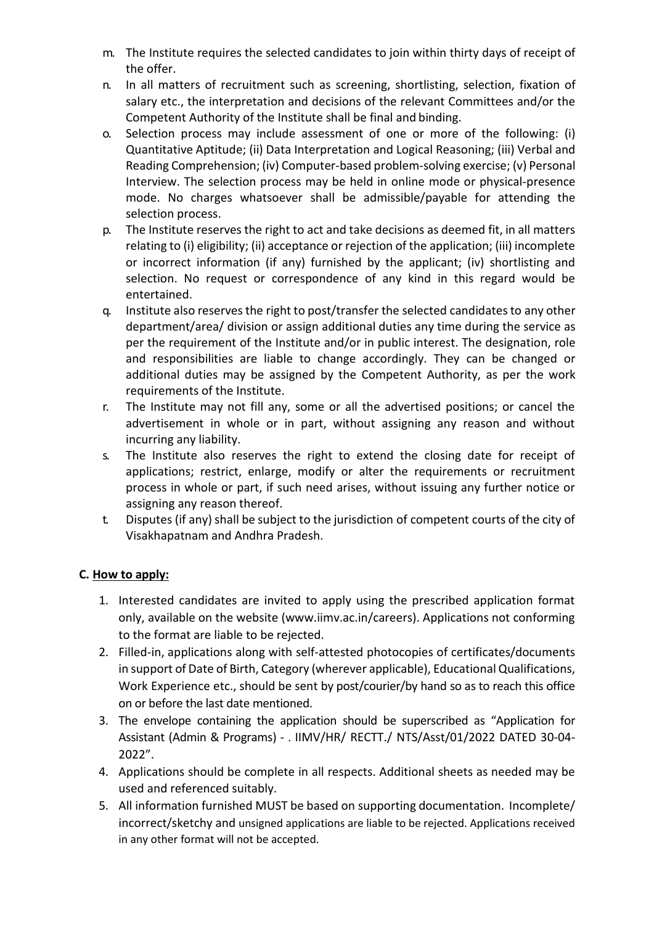- m. The Institute requires the selected candidates to join within thirty days of receipt of the offer.
- n. In all matters of recruitment such as screening, shortlisting, selection, fixation of salary etc., the interpretation and decisions of the relevant Committees and/or the Competent Authority of the Institute shall be final and binding.
- o. Selection process may include assessment of one or more of the following: (i) Quantitative Aptitude; (ii) Data Interpretation and Logical Reasoning; (iii) Verbal and Reading Comprehension; (iv) Computer-based problem-solving exercise; (v) Personal Interview. The selection process may be held in online mode or physical-presence mode. No charges whatsoever shall be admissible/payable for attending the selection process.
- p. The Institute reserves the right to act and take decisions as deemed fit, in all matters relating to (i) eligibility; (ii) acceptance or rejection of the application; (iii) incomplete or incorrect information (if any) furnished by the applicant; (iv) shortlisting and selection. No request or correspondence of any kind in this regard would be entertained.
- q. Institute also reserves the right to post/transfer the selected candidates to any other department/area/ division or assign additional duties any time during the service as per the requirement of the Institute and/or in public interest. The designation, role and responsibilities are liable to change accordingly. They can be changed or additional duties may be assigned by the Competent Authority, as per the work requirements of the Institute.
- r. The Institute may not fill any, some or all the advertised positions; or cancel the advertisement in whole or in part, without assigning any reason and without incurring any liability.
- s. The Institute also reserves the right to extend the closing date for receipt of applications; restrict, enlarge, modify or alter the requirements or recruitment process in whole or part, if such need arises, without issuing any further notice or assigning any reason thereof.
- t. Disputes (if any) shall be subject to the jurisdiction of competent courts of the city of Visakhapatnam and Andhra Pradesh.

## **C. How to apply:**

- 1. Interested candidates are invited to apply using the prescribed application format only, available on the website [\(www.iimv.ac.in/careers\). A](http://www.iimv.ac.in/careers))pplications not conforming to the format are liable to be rejected.
- 2. Filled-in, applications along with self-attested photocopies of certificates/documents in support of Date of Birth, Category (wherever applicable), Educational Qualifications, Work Experience etc., should be sent by post/courier/by hand so as to reach this office on or before the last date mentioned.
- 3. The envelope containing the application should be superscribed as "Application for Assistant (Admin & Programs) - . IIMV/HR/ RECTT./ NTS/Asst/01/2022 DATED 30-04- 2022".
- 4. Applications should be complete in all respects. Additional sheets as needed may be used and referenced suitably.
- 5. All information furnished MUST be based on supporting documentation. Incomplete/ incorrect/sketchy and unsigned applications are liable to be rejected. Applications received in any other format will not be accepted.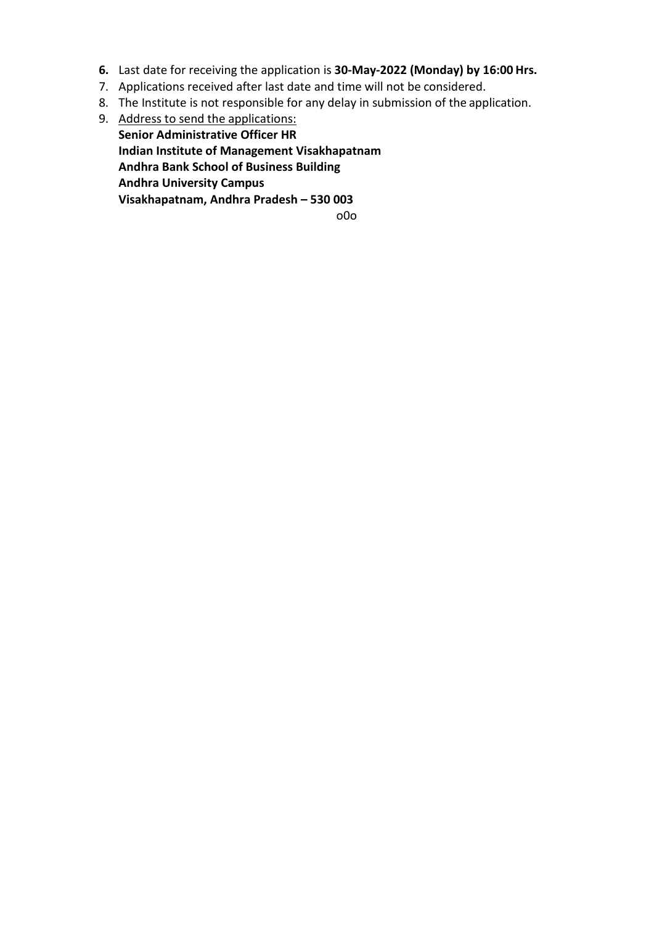- **6.** Last date for receiving the application is **30-May-2022 (Monday) by 16:00 Hrs.**
- 7. Applications received after last date and time will not be considered.
- 8. The Institute is not responsible for any delay in submission of the application.
- 9. Address to send the applications: **Senior Administrative Officer HR Indian Institute of Management Visakhapatnam Andhra Bank School of Business Building Andhra University Campus Visakhapatnam, Andhra Pradesh – 530 003** o0o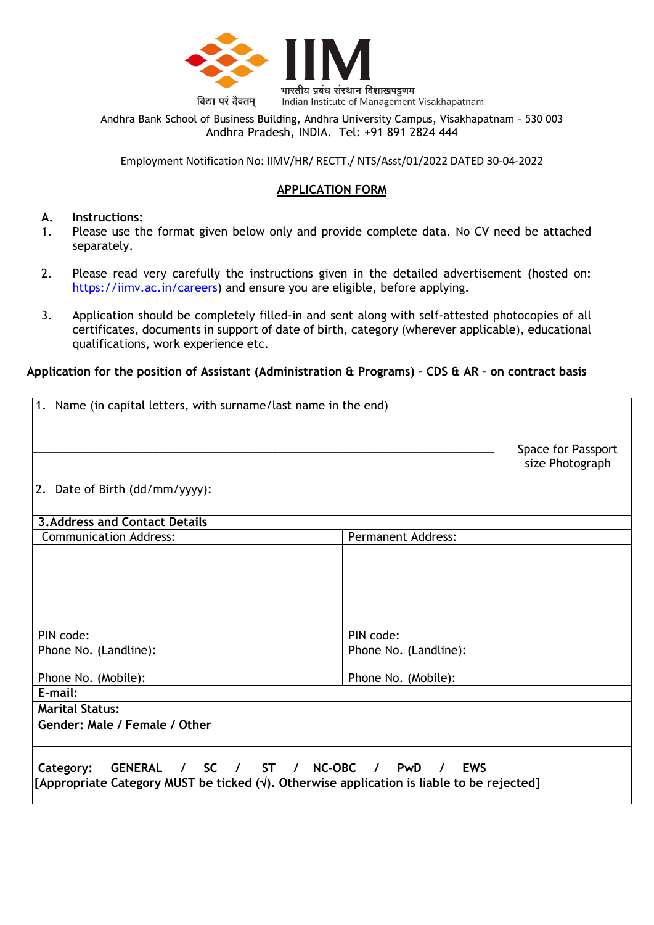

Andhra Bank School of Business Building, Andhra University Campus, Visakhapatnam – 530 003 Andhra Pradesh, INDIA. Tel: +91 891 2824 444

Employment Notification No: IIMV/HR/ RECTT./ NTS/Asst/01/2022 DATED 30-04-2022

## **APPLICATION FORM**

#### **A. Instructions:**

- 1. Please use the format given below only and provide complete data. No CV need be attached separately.
- 2. Please read very carefully the instructions given in the detailed advertisement (hosted on: [https://iimv.ac.in/careers\)](https://iimv.ac.in/careers) and ensure you are eligible, before applying.
- 3. Application should be completely filled-in and sent along with self-attested photocopies of all certificates, documents in support of date of birth, category (wherever applicable), educational qualifications, work experience etc.

#### **Application for the position of Assistant (Administration & Programs) – CDS & AR – on contract basis**

| 1. Name (in capital letters, with surname/last name in the end)                                                                                                  |                           | Space for Passport |  |  |  |
|------------------------------------------------------------------------------------------------------------------------------------------------------------------|---------------------------|--------------------|--|--|--|
|                                                                                                                                                                  |                           | size Photograph    |  |  |  |
| 2. Date of Birth (dd/mm/yyyy):                                                                                                                                   |                           |                    |  |  |  |
| <b>3. Address and Contact Details</b>                                                                                                                            |                           |                    |  |  |  |
| <b>Communication Address:</b>                                                                                                                                    | <b>Permanent Address:</b> |                    |  |  |  |
| PIN code:                                                                                                                                                        | PIN code:                 |                    |  |  |  |
| Phone No. (Landline):                                                                                                                                            | Phone No. (Landline):     |                    |  |  |  |
| Phone No. (Mobile):<br>E-mail:                                                                                                                                   |                           |                    |  |  |  |
| <b>Marital Status:</b>                                                                                                                                           |                           |                    |  |  |  |
| Gender: Male / Female / Other                                                                                                                                    |                           |                    |  |  |  |
| / ST / NC-OBC / PwD<br>GENERAL /<br><b>SC</b><br>Category:<br>[Appropriate Category MUST be ticked $(\sqrt{)}$ . Otherwise application is liable to be rejected] | <b>EWS</b><br>$\prime$    |                    |  |  |  |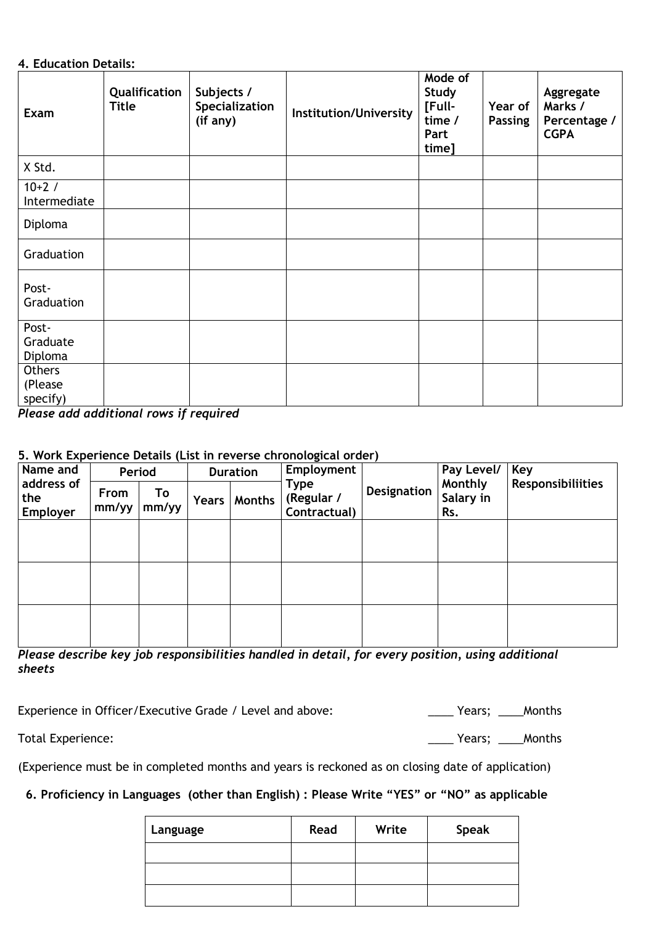## **4. Education Details:**

| Exam                                 | Qualification<br><b>Title</b> | Subjects /<br>Specialization<br>(if any) | Institution/University | Mode of<br>Study<br>[Full-<br>time /<br>Part<br>time] | Year of<br><b>Passing</b> | Aggregate<br>Marks /<br>Percentage /<br><b>CGPA</b> |
|--------------------------------------|-------------------------------|------------------------------------------|------------------------|-------------------------------------------------------|---------------------------|-----------------------------------------------------|
| X Std.                               |                               |                                          |                        |                                                       |                           |                                                     |
| $10+2/$<br>Intermediate              |                               |                                          |                        |                                                       |                           |                                                     |
| Diploma                              |                               |                                          |                        |                                                       |                           |                                                     |
| Graduation                           |                               |                                          |                        |                                                       |                           |                                                     |
| Post-<br>Graduation                  |                               |                                          |                        |                                                       |                           |                                                     |
| Post-<br>Graduate<br>Diploma         |                               |                                          |                        |                                                       |                           |                                                     |
| <b>Others</b><br>(Please<br>specify) |                               |                                          |                        |                                                       |                           |                                                     |

*Please add additional rows if required*

### **5. Work Experience Details (List in reverse chronological order)**

| Name and                      | Period        |             | <b>Duration</b> |        | Employment                                |             | Pay Level/                  | Key                      |
|-------------------------------|---------------|-------------|-----------------|--------|-------------------------------------------|-------------|-----------------------------|--------------------------|
| address of<br>the<br>Employer | From<br>mm/yy | To<br>mm/yy | Years           | Months | <b>Type</b><br>(Regular /<br>Contractual) | Designation | Monthly<br>Salary in<br>Rs. | <b>Responsibiliities</b> |
|                               |               |             |                 |        |                                           |             |                             |                          |
|                               |               |             |                 |        |                                           |             |                             |                          |
|                               |               |             |                 |        |                                           |             |                             |                          |
|                               |               |             |                 |        |                                           |             |                             |                          |
|                               |               |             |                 |        |                                           |             |                             |                          |

*Please describe key job responsibilities handled in detail, for every position, using additional sheets*

Experience in Officer/Executive Grade / Level and above:

| Years; | Months |
|--------|--------|
|--------|--------|

Total Experience: \_\_\_\_ Years; \_\_\_\_Months

(Experience must be in completed months and years is reckoned as on closing date of application)

# **6. Proficiency in Languages (other than English) : Please Write "YES" or "NO" as applicable**

| Language | Read | Write | <b>Speak</b> |
|----------|------|-------|--------------|
|          |      |       |              |
|          |      |       |              |
|          |      |       |              |